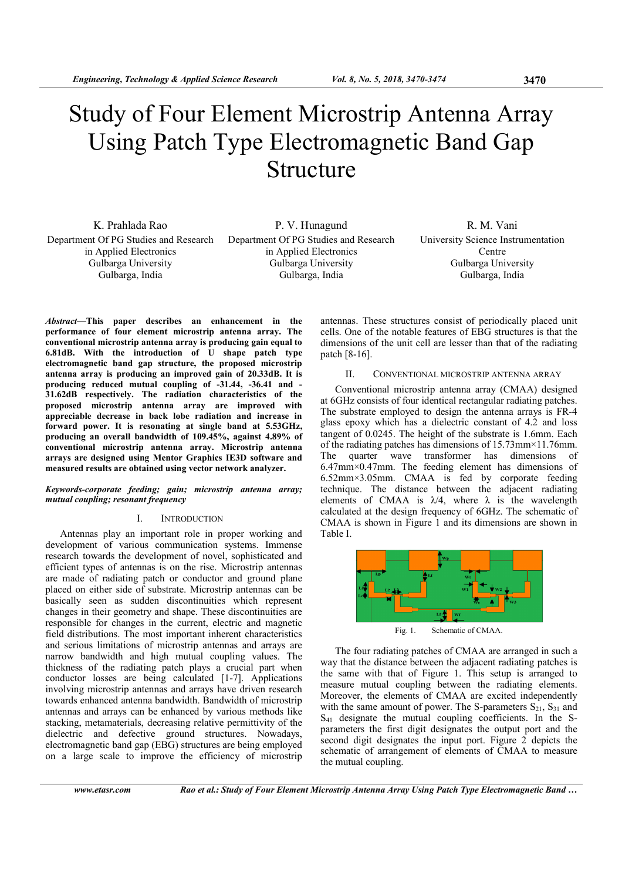# Study of Four Element Microstrip Antenna Array Using Patch Type Electromagnetic Band Gap Structure

K. Prahlada Rao Department Of PG Studies and Research in Applied Electronics Gulbarga University Gulbarga, India

P. V. Hunagund Department Of PG Studies and Research in Applied Electronics Gulbarga University Gulbarga, India

R. M. Vani University Science Instrumentation Centre Gulbarga University Gulbarga, India

Abstract—This paper describes an enhancement in the performance of four element microstrip antenna array. The conventional microstrip antenna array is producing gain equal to  $6.81$ dB. With the introduction of  $\dot{U}$  shape patch type electromagnetic band gap structure, the proposed microstrip antenna array is producing an improved gain of 20.33dB. It is producing reduced mutual coupling of -31.44, -36.41 and - 31.62dB respectively. The radiation characteristics of the proposed microstrip antenna array are improved with appreciable decrease in back lobe radiation and increase in forward power. It is resonating at single band at 5.53GHz, producing an overall bandwidth of 109.45%, against 4.89% of conventional microstrip antenna array. Microstrip antenna arrays are designed using Mentor Graphics IE3D software and measured results are obtained using vector network analyzer.

## Keywords-corporate feeding; gain; microstrip antenna array; mutual coupling; resonant frequency

## I. INTRODUCTION

Antennas play an important role in proper working and development of various communication systems. Immense research towards the development of novel, sophisticated and efficient types of antennas is on the rise. Microstrip antennas are made of radiating patch or conductor and ground plane placed on either side of substrate. Microstrip antennas can be basically seen as sudden discontinuities which represent changes in their geometry and shape. These discontinuities are responsible for changes in the current, electric and magnetic field distributions. The most important inherent characteristics and serious limitations of microstrip antennas and arrays are narrow bandwidth and high mutual coupling values. The thickness of the radiating patch plays a crucial part when conductor losses are being calculated [1-7]. Applications involving microstrip antennas and arrays have driven research towards enhanced antenna bandwidth. Bandwidth of microstrip antennas and arrays can be enhanced by various methods like stacking, metamaterials, decreasing relative permittivity of the dielectric and defective ground structures. Nowadays, electromagnetic band gap (EBG) structures are being employed on a large scale to improve the efficiency of microstrip

antennas. These structures consist of periodically placed unit cells. One of the notable features of EBG structures is that the dimensions of the unit cell are lesser than that of the radiating patch [8-16].

# II. CONVENTIONAL MICROSTRIP ANTENNA ARRAY

Conventional microstrip antenna array (CMAA) designed at 6GHz consists of four identical rectangular radiating patches. The substrate employed to design the antenna arrays is FR-4 glass epoxy which has a dielectric constant of 4.2 and loss tangent of 0.0245. The height of the substrate is 1.6mm. Each of the radiating patches has dimensions of 15.73mm×11.76mm. The quarter wave transformer has dimensions of 6.47mm×0.47mm. The feeding element has dimensions of 6.52mm×3.05mm. CMAA is fed by corporate feeding technique. The distance between the adjacent radiating elements of CMAA is  $\lambda/4$ , where  $\lambda$  is the wavelength calculated at the design frequency of 6GHz. The schematic of CMAA is shown in Figure 1 and its dimensions are shown in Table I.



Fig. 1. Schematic of CMAA.

The four radiating patches of CMAA are arranged in such a way that the distance between the adjacent radiating patches is the same with that of Figure 1. This setup is arranged to measure mutual coupling between the radiating elements. Moreover, the elements of CMAA are excited independently with the same amount of power. The S-parameters  $S_{21}$ ,  $S_{31}$  and S41 designate the mutual coupling coefficients. In the Sparameters the first digit designates the output port and the second digit designates the input port. Figure 2 depicts the schematic of arrangement of elements of CMAA to measure the mutual coupling.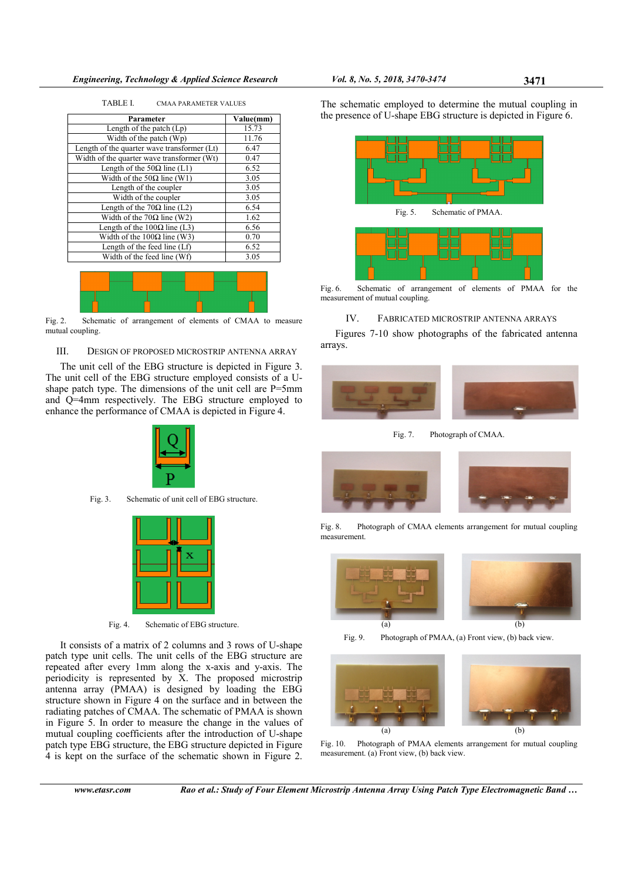| Parameter                                   | Value(mm) |  |
|---------------------------------------------|-----------|--|
| Length of the patch $(Lp)$                  | 15.73     |  |
| Width of the patch $(Wp)$                   | 11.76     |  |
| Length of the quarter wave transformer (Lt) | 6.47      |  |
| Width of the quarter wave transformer (Wt)  | 0.47      |  |
| Length of the $50\Omega$ line (L1)          | 6.52      |  |
| Width of the 50 $\Omega$ line (W1)          | 3.05      |  |
| Length of the coupler                       | 3.05      |  |
| Width of the coupler                        | 3.05      |  |
| Length of the 70 $\Omega$ line (L2)         | 6.54      |  |
| Width of the 70 $\Omega$ line (W2)          | 1.62      |  |
| Length of the $100\Omega$ line (L3)         | 6.56      |  |
| Width of the $100\Omega$ line (W3)          | 0.70      |  |
| Length of the feed line $(Lf)$              | 6.52      |  |
| Width of the feed line (Wf)                 | 3.05      |  |

TABLE I. CMAA PARAMETER VALUES



Fig. 2. Schematic of arrangement of elements of CMAA to measure mutual coupling.

## III. DESIGN OF PROPOSED MICROSTRIP ANTENNA ARRAY

The unit cell of the EBG structure is depicted in Figure 3. The unit cell of the EBG structure employed consists of a Ushape patch type. The dimensions of the unit cell are P=5mm and Q=4mm respectively. The EBG structure employed to enhance the performance of CMAA is depicted in Figure 4.



Fig. 3. Schematic of unit cell of EBG structure.



Fig. 4. Schematic of EBG structure.

It consists of a matrix of 2 columns and 3 rows of U-shape patch type unit cells. The unit cells of the EBG structure are repeated after every 1mm along the x-axis and y-axis. The periodicity is represented by X. The proposed microstrip antenna array (PMAA) is designed by loading the EBG structure shown in Figure 4 on the surface and in between the radiating patches of CMAA. The schematic of PMAA is shown in Figure 5. In order to measure the change in the values of mutual coupling coefficients after the introduction of U-shape patch type EBG structure, the EBG structure depicted in Figure 4 is kept on the surface of the schematic shown in Figure 2.

The schematic employed to determine the mutual coupling in the presence of U-shape EBG structure is depicted in Figure 6.



Fig. 6. Schematic of arrangement of elements of PMAA for the measurement of mutual coupling.

## IV. FABRICATED MICROSTRIP ANTENNA ARRAYS

Figures 7-10 show photographs of the fabricated antenna arrays.



Fig. 7. Photograph of CMAA.



Fig. 8. Photograph of CMAA elements arrangement for mutual coupling measurement.



Fig. 9. Photograph of PMAA, (a) Front view, (b) back view.





Fig. 10. Photograph of PMAA elements arrangement for mutual coupling measurement. (a) Front view, (b) back view.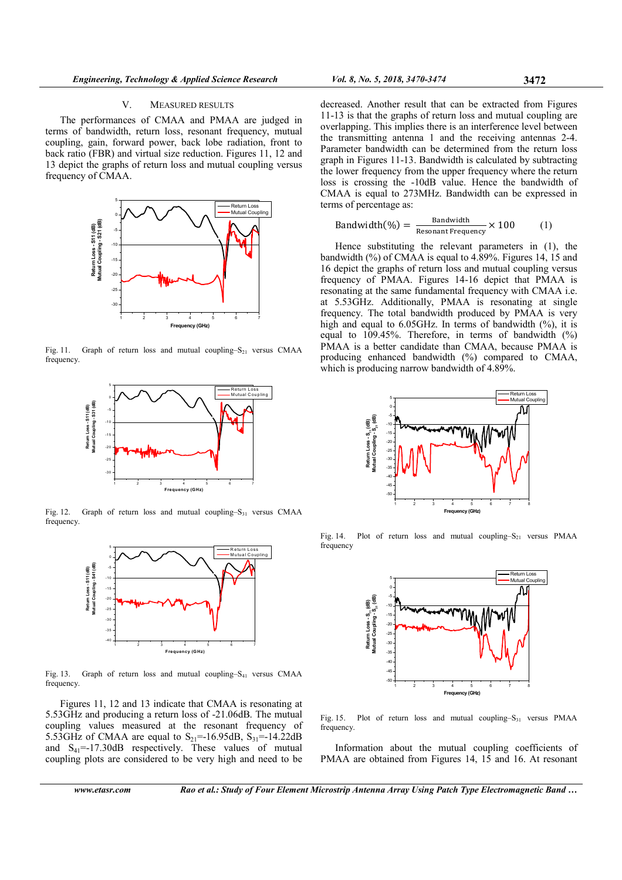#### V. MEASURED RESULTS

The performances of CMAA and PMAA are judged in terms of bandwidth, return loss, resonant frequency, mutual coupling, gain, forward power, back lobe radiation, front to back ratio (FBR) and virtual size reduction. Figures 11, 12 and 13 depict the graphs of return loss and mutual coupling versus frequency of CMAA.



Fig. 11. Graph of return loss and mutual coupling– $S_{21}$  versus CMAA frequency.



Fig. 12. Graph of return loss and mutual coupling– $S_{31}$  versus CMAA frequency.



Fig. 13. Graph of return loss and mutual coupling–S<sub>41</sub> versus CMAA frequency.

Figures 11, 12 and 13 indicate that CMAA is resonating at 5.53GHz and producing a return loss of -21.06dB. The mutual coupling values measured at the resonant frequency of 5.53GHz of CMAA are equal to  $S_{21}$ =-16.95dB,  $S_{31}$ =-14.22dB and  $S_{41}$ =-17.30dB respectively. These values of mutual coupling plots are considered to be very high and need to be decreased. Another result that can be extracted from Figures 11-13 is that the graphs of return loss and mutual coupling are overlapping. This implies there is an interference level between the transmitting antenna 1 and the receiving antennas 2-4. Parameter bandwidth can be determined from the return loss graph in Figures 11-13. Bandwidth is calculated by subtracting the lower frequency from the upper frequency where the return loss is crossing the -10dB value. Hence the bandwidth of CMAA is equal to 273MHz. Bandwidth can be expressed in terms of percentage as:

Bandwidth
$$
(\%) = \frac{\text{Bandwidth}}{\text{Resonant Frequency}} \times 100
$$
 (1)

Hence substituting the relevant parameters in (1), the bandwidth (%) of CMAA is equal to 4.89%. Figures 14, 15 and 16 depict the graphs of return loss and mutual coupling versus frequency of PMAA. Figures 14-16 depict that PMAA is resonating at the same fundamental frequency with CMAA i.e. at 5.53GHz. Additionally, PMAA is resonating at single frequency. The total bandwidth produced by PMAA is very high and equal to  $6.05$ GHz. In terms of bandwidth  $(%)$ , it is equal to 109.45%. Therefore, in terms of bandwidth (%) PMAA is a better candidate than CMAA, because PMAA is producing enhanced bandwidth (%) compared to CMAA, which is producing narrow bandwidth of 4.89%.



Fig. 14. Plot of return loss and mutual coupling– $S_{21}$  versus PMAA frequency



Fig. 15. Plot of return loss and mutual coupling–S<sub>31</sub> versus PMAA frequency.

Information about the mutual coupling coefficients of PMAA are obtained from Figures 14, 15 and 16. At resonant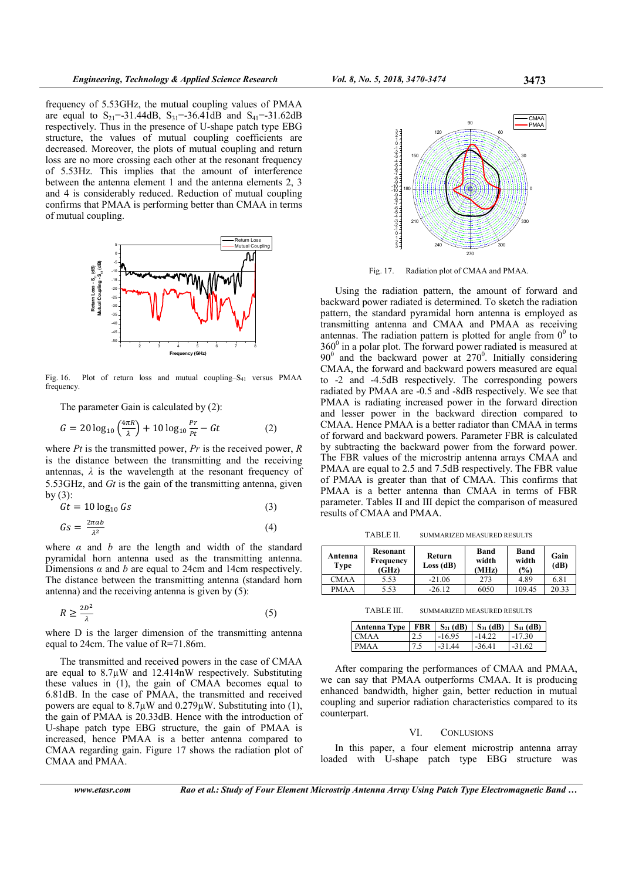frequency of 5.53GHz, the mutual coupling values of PMAA are equal to  $S_{21}$ =-31.44dB,  $S_{31}$ =-36.41dB and  $S_{41}$ =-31.62dB respectively. Thus in the presence of U-shape patch type EBG structure, the values of mutual coupling coefficients are decreased. Moreover, the plots of mutual coupling and return loss are no more crossing each other at the resonant frequency of 5.53Hz. This implies that the amount of interference between the antenna element 1 and the antenna elements 2, 3 and 4 is considerably reduced. Reduction of mutual coupling confirms that PMAA is performing better than CMAA in terms of mutual coupling.



Fig. 16. Plot of return loss and mutual coupling–S<sub>41</sub> versus PMAA frequency.

The parameter Gain is calculated by (2):

$$
G = 20 \log_{10} \left( \frac{4\pi R}{\lambda} \right) + 10 \log_{10} \frac{Pr}{Pt} - Gt \tag{2}
$$

where  $Pt$  is the transmitted power,  $Pr$  is the received power,  $R$ is the distance between the transmitting and the receiving antennas,  $\lambda$  is the wavelength at the resonant frequency of 5.53GHz, and Gt is the gain of the transmitting antenna, given by  $(3)$ :

$$
Gt = 10 \log_{10} Gs \tag{3}
$$

$$
Gs = \frac{2\pi ab}{\lambda^2} \tag{4}
$$

where  $\alpha$  and  $\dot{b}$  are the length and width of the standard pyramidal horn antenna used as the transmitting antenna. Dimensions  $\alpha$  and  $b$  are equal to 24cm and 14cm respectively. The distance between the transmitting antenna (standard horn antenna) and the receiving antenna is given by (5):

$$
R \ge \frac{2D^2}{\lambda} \tag{5}
$$

where D is the larger dimension of the transmitting antenna equal to 24cm. The value of R=71.86m.

The transmitted and received powers in the case of CMAA are equal to 8.7µW and 12.414nW respectively. Substituting these values in (1), the gain of CMAA becomes equal to 6.81dB. In the case of PMAA, the transmitted and received powers are equal to  $8.7\mu$ W and  $0.279\mu$ W. Substituting into (1), the gain of PMAA is 20.33dB. Hence with the introduction of U-shape patch type EBG structure, the gain of PMAA is increased, hence PMAA is a better antenna compared to CMAA regarding gain. Figure 17 shows the radiation plot of CMAA and PMAA.



Fig. 17. Radiation plot of CMAA and PMAA.

Using the radiation pattern, the amount of forward and backward power radiated is determined. To sketch the radiation pattern, the standard pyramidal horn antenna is employed as transmitting antenna and CMAA and PMAA as receiving antennas. The radiation pattern is plotted for angle from  $0^0$  to  $360<sup>0</sup>$  in a polar plot. The forward power radiated is measured at  $90^{\circ}$  and the backward power at  $270^{\circ}$ . Initially considering CMAA, the forward and backward powers measured are equal to -2 and -4.5dB respectively. The corresponding powers radiated by PMAA are -0.5 and -8dB respectively. We see that PMAA is radiating increased power in the forward direction and lesser power in the backward direction compared to CMAA. Hence PMAA is a better radiator than CMAA in terms of forward and backward powers. Parameter FBR is calculated by subtracting the backward power from the forward power. The FBR values of the microstrip antenna arrays CMAA and PMAA are equal to 2.5 and 7.5dB respectively. The FBR value of PMAA is greater than that of CMAA. This confirms that PMAA is a better antenna than CMAA in terms of FBR parameter. Tables II and III depict the comparison of measured results of CMAA and PMAA.

TABLE II. SUMMARIZED MEASURED RESULTS

| Antenna<br>Type | Resonant<br>Frequency<br>(GHz) | Return<br>Loss(dB) | Band<br>width<br>(MHz) | Band<br>width<br>(%) | Gain<br>(dB) |
|-----------------|--------------------------------|--------------------|------------------------|----------------------|--------------|
| <b>CMAA</b>     | 5.53                           | $-21.06$           | 273                    | 4.89                 | 6.81         |
| <b>PMAA</b>     | 5.53                           | $-26.12$           | 6050                   | 109.45               | 20.33        |

TABLE III. SUMMARIZED MEASURED RESULTS

| Antenna Type   FBR   $S_{21}$ (dB)   $S_{31}$ (dB)   $S_{41}$ (dB) |      |          |          |          |
|--------------------------------------------------------------------|------|----------|----------|----------|
| ICMAA                                                              |      | $-16.95$ | $-14.22$ | $-17.30$ |
| <b>PMAA</b>                                                        | 17.5 | $-31.44$ | $-36.41$ | $-31.62$ |

After comparing the performances of CMAA and PMAA, we can say that PMAA outperforms CMAA. It is producing enhanced bandwidth, higher gain, better reduction in mutual coupling and superior radiation characteristics compared to its counterpart.

#### VI. CONLUSIONS

In this paper, a four element microstrip antenna array loaded with U-shape patch type EBG structure was